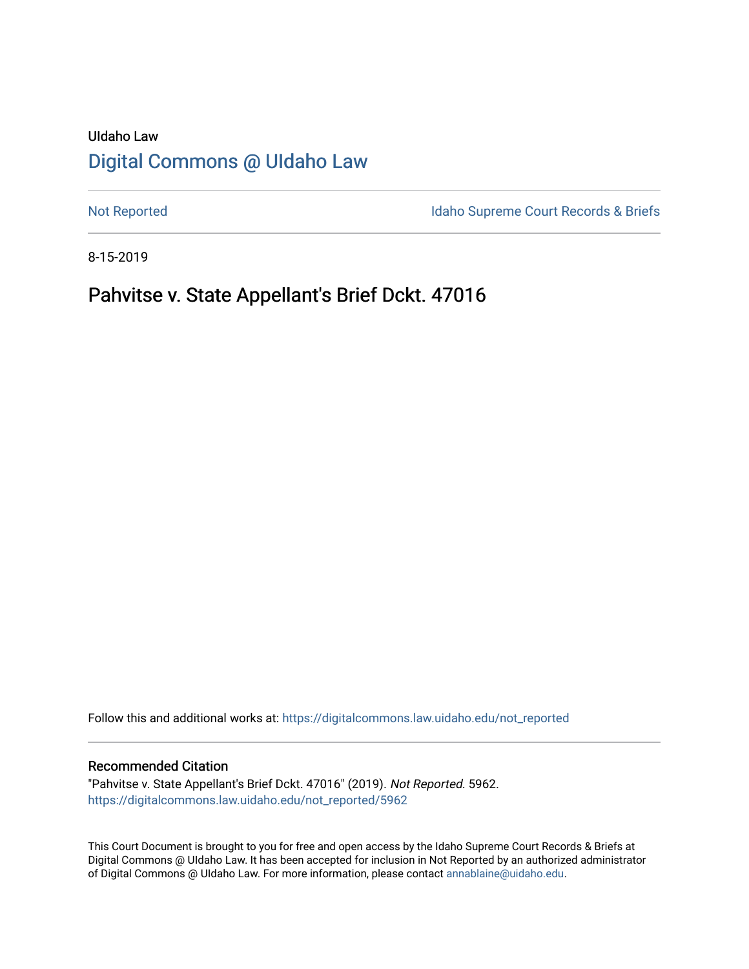# UIdaho Law [Digital Commons @ UIdaho Law](https://digitalcommons.law.uidaho.edu/)

[Not Reported](https://digitalcommons.law.uidaho.edu/not_reported) **Idaho Supreme Court Records & Briefs** 

8-15-2019

# Pahvitse v. State Appellant's Brief Dckt. 47016

Follow this and additional works at: [https://digitalcommons.law.uidaho.edu/not\\_reported](https://digitalcommons.law.uidaho.edu/not_reported?utm_source=digitalcommons.law.uidaho.edu%2Fnot_reported%2F5962&utm_medium=PDF&utm_campaign=PDFCoverPages) 

#### Recommended Citation

"Pahvitse v. State Appellant's Brief Dckt. 47016" (2019). Not Reported. 5962. [https://digitalcommons.law.uidaho.edu/not\\_reported/5962](https://digitalcommons.law.uidaho.edu/not_reported/5962?utm_source=digitalcommons.law.uidaho.edu%2Fnot_reported%2F5962&utm_medium=PDF&utm_campaign=PDFCoverPages)

This Court Document is brought to you for free and open access by the Idaho Supreme Court Records & Briefs at Digital Commons @ UIdaho Law. It has been accepted for inclusion in Not Reported by an authorized administrator of Digital Commons @ UIdaho Law. For more information, please contact [annablaine@uidaho.edu](mailto:annablaine@uidaho.edu).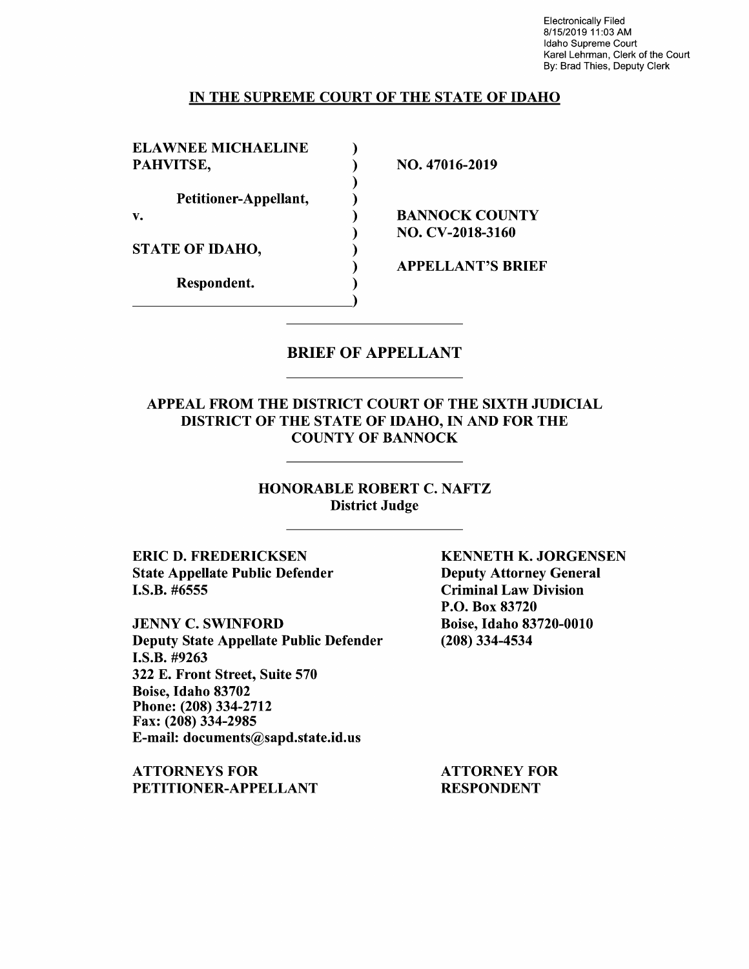Electronically Filed 8/15/2019 11 :03 AM Idaho Supreme Court Karel Lehrman, Clerk of the Court By: Brad Thies, Deputy Clerk

### IN THE SUPREME COURT OF THE STATE OF IDAHO

)

)

ELAWNEE MICHAELINE ) PAHVITSE,  $NO. 47016-2019$ 

Petitioner-Appellant, )

STATE OF IDAHO,

Respondent. )

v. BANNOCK COUNTY ) NO. CV-2018-3160

) APPELLANT'S BRIEF

### BRIEF OF APPELLANT

APPEAL FROM THE DISTRICT COURT OF THE SIXTH JUDICIAL DISTRICT OF THE STATE OF IDAHO, IN AND FOR THE COUNTY OF BANNOCK

> HONORABLE ROBERT C. NAFTZ District Judge

**ERIC D. FREDERICKSEN**  State Appellate Public Defender I.S.B. #6555

JENNY C. SWINFORD Deputy State Appellate Public Defender **I.S.B.** #9263 322 E. Front Street, Suite 570 Boise, Idaho 83702 Phone: (208) 334-2712 Fax: (208) 334-2985 E-mail: documents@sapd.state.id.us

**ATTORNEYS FOR PETITIONER-APPELLANT**  **KENNETH K. JORGENSEN**  Deputy Attorney General Criminal Law Division P.O. Box 83720 Boise, Idaho 83720-0010 (208) 334-4534

ATTORNEY FOR RESPONDENT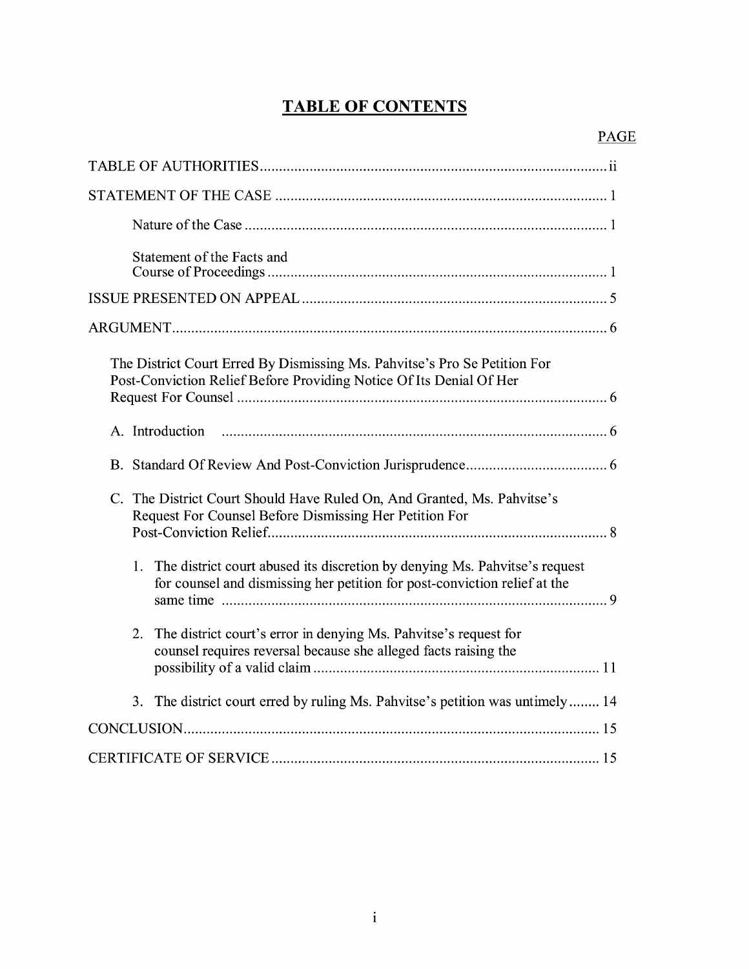# **TABLE OF CONTENTS**

| Statement of the Facts and                                                                                                                                    |
|---------------------------------------------------------------------------------------------------------------------------------------------------------------|
|                                                                                                                                                               |
|                                                                                                                                                               |
| The District Court Erred By Dismissing Ms. Pahvitse's Pro Se Petition For<br>Post-Conviction Relief Before Providing Notice Of Its Denial Of Her              |
| A. Introduction                                                                                                                                               |
|                                                                                                                                                               |
| C. The District Court Should Have Ruled On, And Granted, Ms. Pahvitse's<br>Request For Counsel Before Dismissing Her Petition For                             |
| The district court abused its discretion by denying Ms. Pahvitse's request<br>1.<br>for counsel and dismissing her petition for post-conviction relief at the |
| 2. The district court's error in denying Ms. Pahvitse's request for<br>counsel requires reversal because she alleged facts raising the                        |
| The district court erred by ruling Ms. Pahvitse's petition was untimely 14<br>3.                                                                              |
|                                                                                                                                                               |
|                                                                                                                                                               |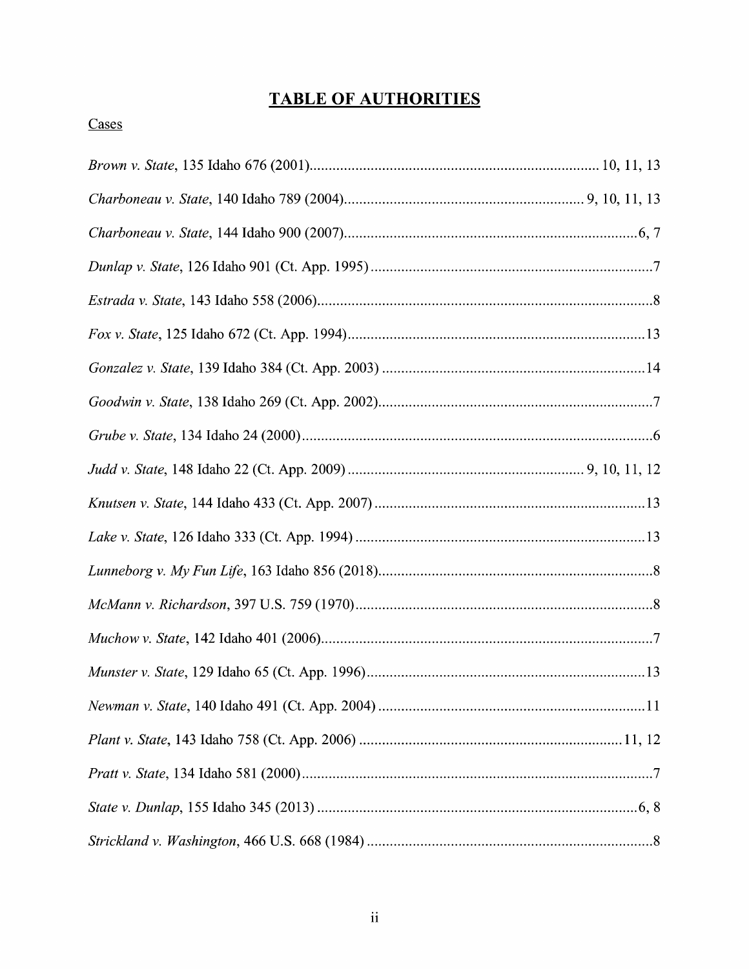# **TABLE OF AUTHORITIES**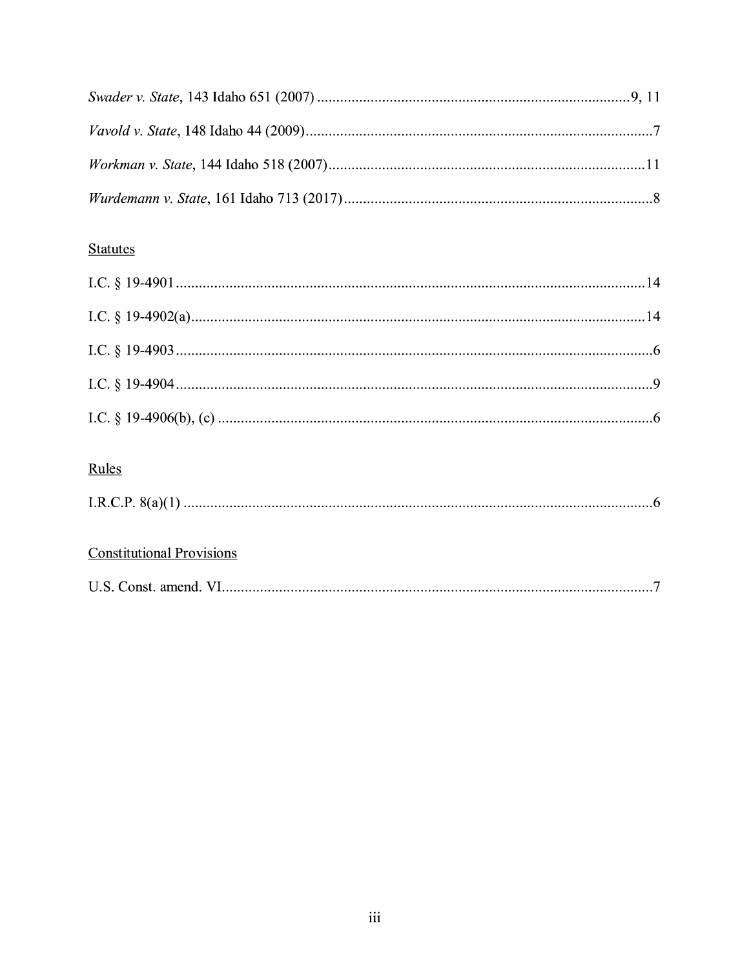# **Statutes**

| Rules                            |  |
|----------------------------------|--|
|                                  |  |
| <b>Constitutional Provisions</b> |  |

|  | U.S. Const. amend. |  |  |
|--|--------------------|--|--|
|--|--------------------|--|--|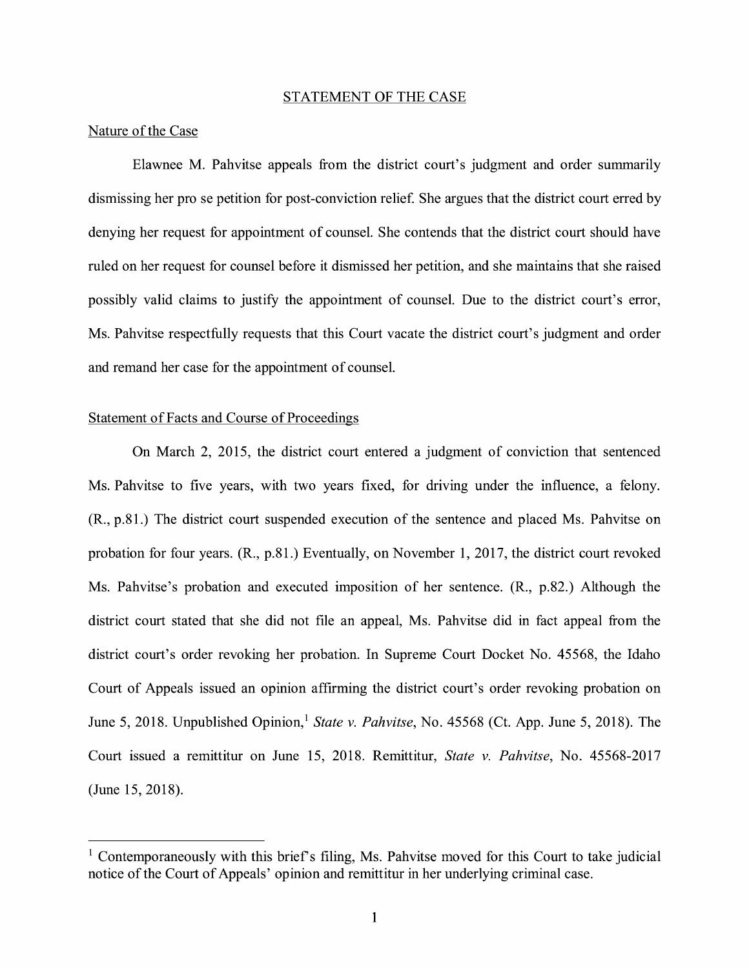#### STATEMENT OF THE CASE

#### Nature of the Case

Elawnee M. Pahvitse appeals from the district court's judgment and order summarily dismissing her pro se petition for post-conviction relief. She argues that the district court erred by denying her request for appointment of counsel. She contends that the district court should have ruled on her request for counsel before it dismissed her petition, and she maintains that she raised possibly valid claims to justify the appointment of counsel. Due to the district court's error, Ms. Pahvitse respectfully requests that this Court vacate the district court's judgment and order and remand her case for the appointment of counsel.

#### Statement of Facts and Course of Proceedings

On March 2, 2015, the district court entered a judgment of conviction that sentenced Ms. Pahvitse to five years, with two years fixed, for driving under the influence, a felony. (R., p.81.) The district court suspended execution of the sentence and placed Ms. Pahvitse on probation for four years. (R., p.81.) Eventually, on November 1, 2017, the district court revoked Ms. Pahvitse's probation and executed imposition of her sentence. (R., p.82.) Although the district court stated that she did not file an appeal, Ms. Pahvitse did in fact appeal from the district court's order revoking her probation. In Supreme Court Docket No. 45568, the Idaho Court of Appeals issued an opinion affirming the district court's order revoking probation on June 5, 2018. Unpublished Opinion,<sup>1</sup> State v. Pahvitse, No. 45568 (Ct. App. June 5, 2018). The Court issued a remittitur on June 15, 2018. Remittitur, *State v. Pahvitse,* No. 45568-2017 (June 15, 2018).

<sup>&</sup>lt;sup>1</sup> Contemporaneously with this brief's filing, Ms. Pahvitse moved for this Court to take judicial notice of the Court of Appeals' opinion and remittitur in her underlying criminal case.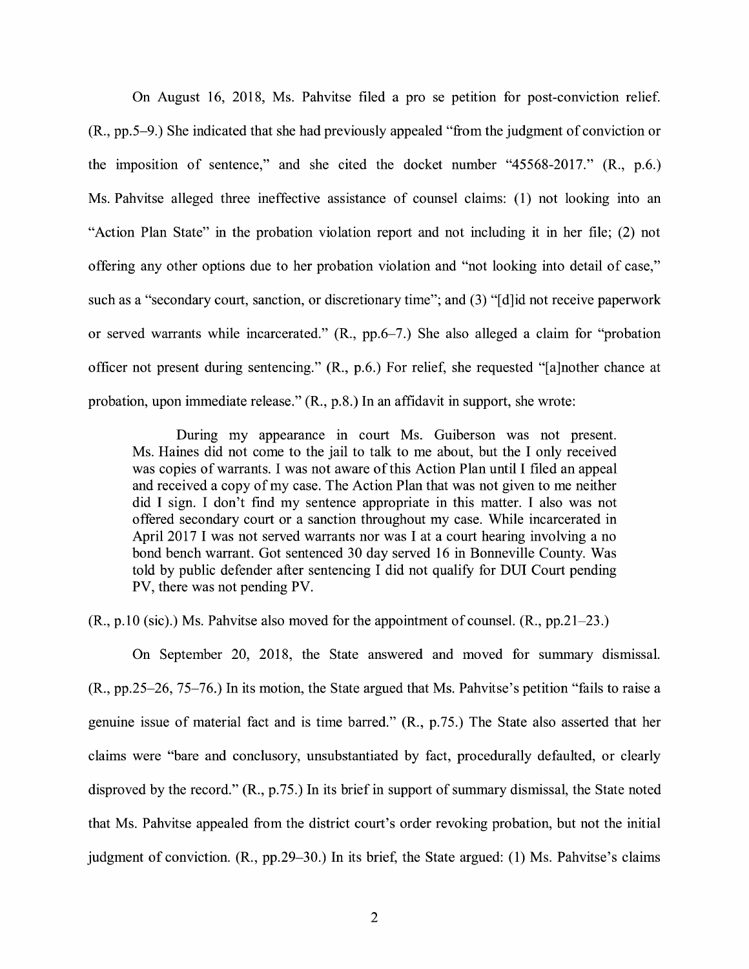On August 16, 2018, Ms. Pahvitse filed a pro se petition for post-conviction relief. (R., pp.5-9.) She indicated that she had previously appealed "from the judgment of conviction or the imposition of sentence," and she cited the docket number "45568-2017." (R., p.6.) Ms. Pahvitse alleged three ineffective assistance of counsel claims: ( 1) not looking into an "Action Plan State" in the probation violation report and not including it in her file; (2) not offering any other options due to her probation violation and "not looking into detail of case," such as a "secondary court, sanction, or discretionary time"; and (3) "[d]id not receive paperwork or served warrants while incarcerated." (R., pp.6-7.) She also alleged a claim for "probation officer not present during sentencing." (R., p.6.) For relief, she requested "[a]nother chance at probation, upon immediate release." (R., p.8.) In an affidavit in support, she wrote:

During my appearance in court Ms. Guiberson was not present. Ms. Haines did not come to the jail to talk to me about, but the I only received was copies of warrants. I was not aware of this Action Plan until I filed an appeal and received a copy of my case. The Action Plan that was not given to me neither did I sign. I don't find my sentence appropriate in this matter. I also was not offered secondary court or a sanction throughout my case. While incarcerated in April 2017 I was not served warrants nor was I at a court hearing involving a no bond bench warrant. Got sentenced 30 day served 16 in Bonneville County. Was told by public defender after sentencing I did not qualify for DUI Court pending PV, there was not pending PV.

(R., p.10 (sic).) Ms. Pahvitse also moved for the appointment of counsel. (R., pp.21-23.)

On September 20, 2018, the State answered and moved for summary dismissal. (R., pp.25-26, 75-76.) In its motion, the State argued that Ms. Pahvitse's petition "fails to raise a genuine issue of material fact and is time barred." **(R.,** p.75.) The State also asserted that her claims were "bare and conclusory, unsubstantiated by fact, procedurally defaulted, or clearly disproved by the record." **(R.,** p.75.) In its brief in support of summary dismissal, the State noted that Ms. Pahvitse appealed from the district court's order revoking probation, but not the initial judgment of conviction. **(R.,** pp.29-30.) In its brief, the State argued: (1) Ms. Pahvitse's claims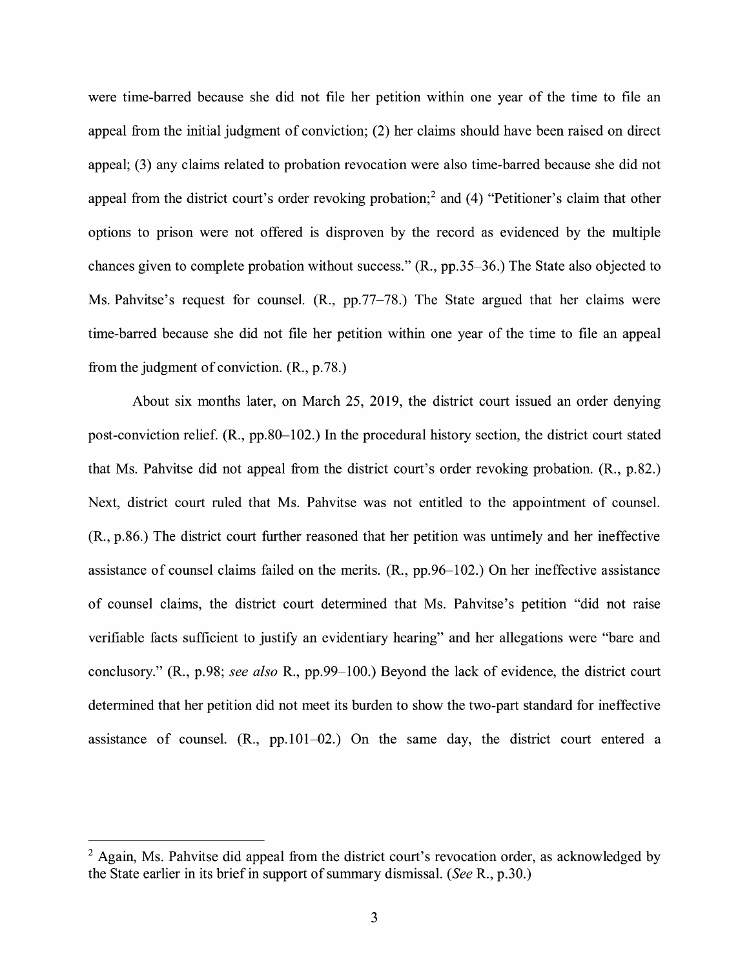were time-barred because she did not file her petition within one year of the time to file an appeal from the initial judgment of conviction; (2) her claims should have been raised on direct appeal; (3) any claims related to probation revocation were also time-barred because she did not appeal from the district court's order revoking probation;2 and (4) "Petitioner's claim that other options to prison were not offered is disproven by the record as evidenced by the multiple chances given to complete probation without success." (R., pp.35-36.) The State also objected to Ms. Pahvitse's request for counsel. (R., pp.77-78.) The State argued that her claims were time-barred because she did not file her petition within one year of the time to file an appeal from the judgment of conviction. (R., p.78.)

About six months later, on March 25, 2019, the district court issued an order denying post-conviction relief. **(R.,** pp.80-102.) In the procedural history section, the district court stated that Ms. Pahvitse did not appeal from the district court's order revoking probation. **(R.,** p.82.) Next, district court ruled that Ms. Pahvitse was not entitled to the appointment of counsel. **(R.,** p.86.) The district court further reasoned that her petition was untimely and her ineffective assistance of counsel claims failed on the merits. (R., pp.96-102.) On her ineffective assistance of counsel claims, the district court determined that Ms. Pahvitse's petition "did not raise verifiable facts sufficient to justify an evidentiary hearing" and her allegations were "bare and conclusory." (R., p.98; *see also* R., pp.99-100.) Beyond the lack of evidence, the district court determined that her petition did not meet its burden to show the two-part standard for ineffective assistance of counsel. (R., pp.101-02.) On the same day, the district court entered a

 $2$  Again, Ms. Pahvitse did appeal from the district court's revocation order, as acknowledged by the State earlier in its brief in support of summary dismissal. *(See* R., p.30.)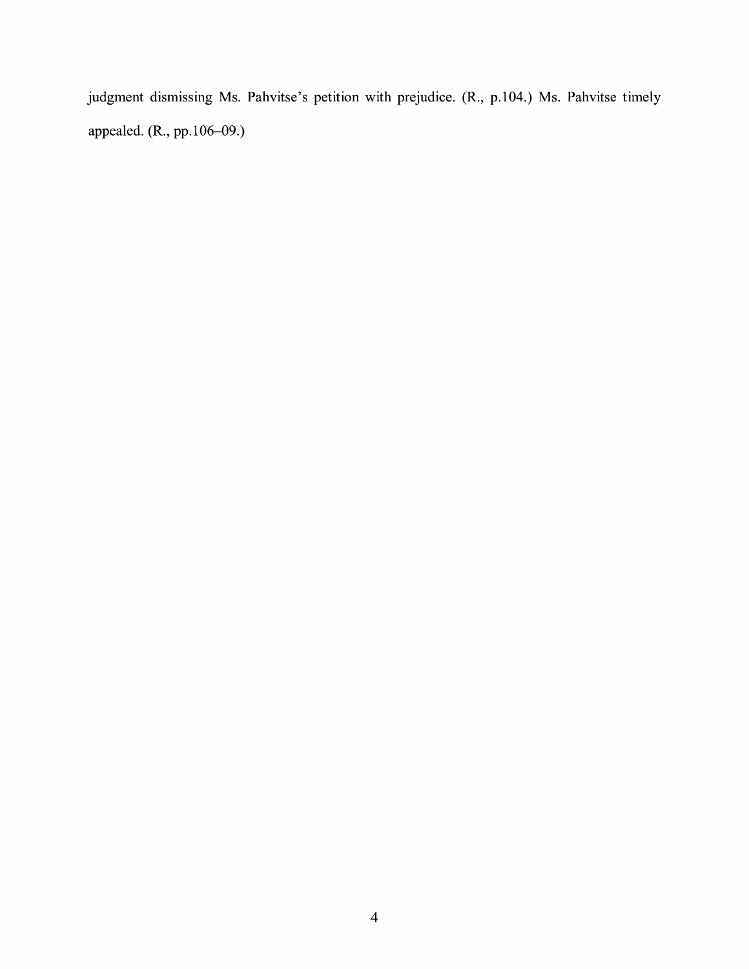judgment dismissing Ms. Pahvitse's petition with prejudice. (R., p.104.) Ms. Pahvitse timely appealed. (R., pp.106-09.)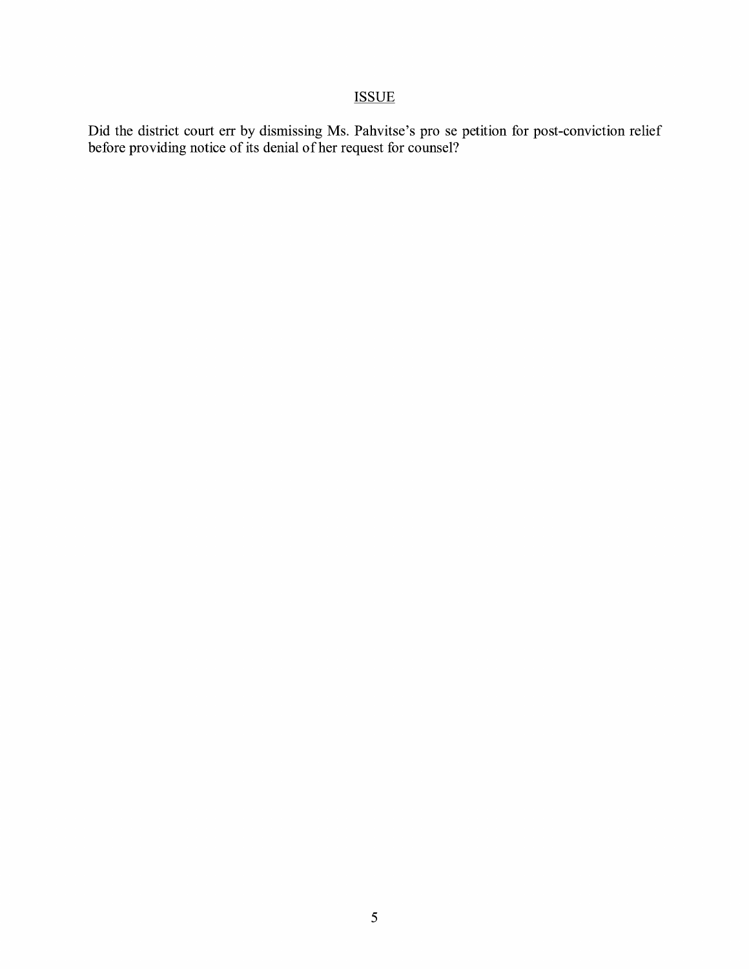# ISSUE

Did the district court err by dismissing Ms. Pahvitse's pro se petition for post-conviction relief before providing notice of its denial of her request for counsel?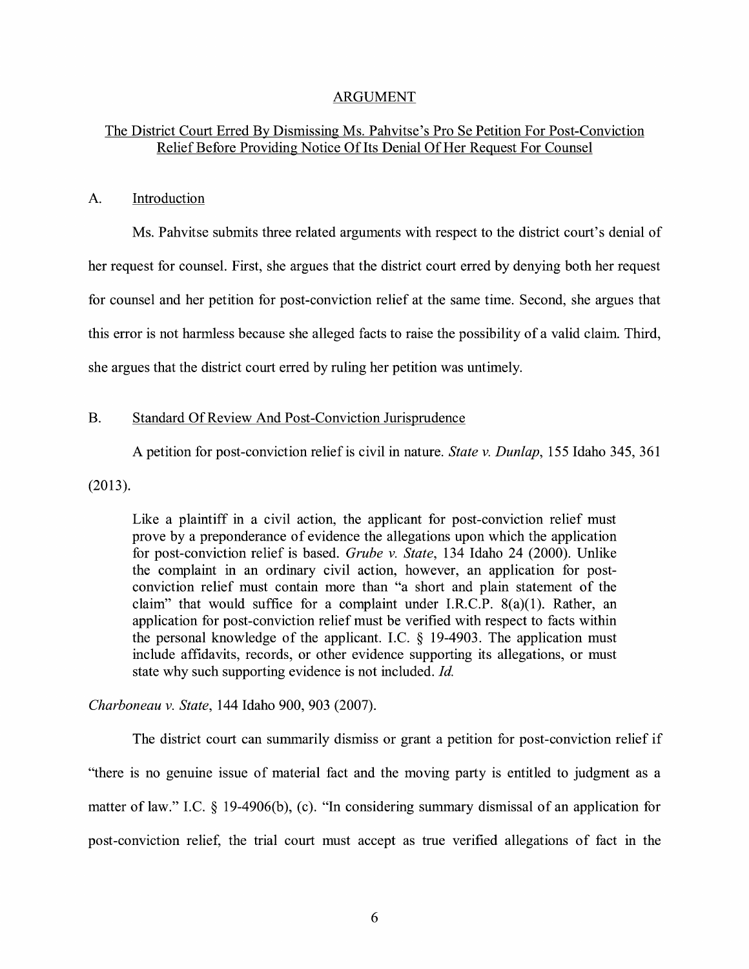### ARGUMENT

# The District Court Erred By Dismissing Ms. Pahvitse's Pro Se Petition For Post-Conviction Relief Before Providing Notice Of Its Denial Of Her Request For Counsel

#### A. Introduction

Ms. Pahvitse submits three related arguments with respect to the district court's denial of her request for counsel. First, she argues that the district court erred by denying both her request for counsel and her petition for post-conviction relief at the same time. Second, she argues that this error is not harmless because she alleged facts to raise the possibility of a valid claim. Third, she argues that the district court erred by ruling her petition was untimely.

#### B. Standard Of Review And Post-Conviction Jurisprudence

A petition for post-conviction relief is civil in nature. *State v. Dunlap,* 155 Idaho 345, 361

(2013).

Like a plaintiff in a civil action, the applicant for post-conviction relief must prove by a preponderance of evidence the allegations upon which the application for post-conviction relief is based. *Grube v. State,* 134 Idaho 24 (2000). Unlike the complaint in an ordinary civil action, however, an application for postconviction relief must contain more than "a short and plain statement of the claim" that would suffice for a complaint under I.R.C.P.  $8(a)(1)$ . Rather, an application for post-conviction relief must be verified with respect to facts within the personal knowledge of the applicant. I.C.  $\S$  19-4903. The application must include affidavits, records, or other evidence supporting its allegations, or must state why such supporting evidence is not included. *Id.* 

*Charboneau v. State,* 144 Idaho 900, 903 (2007).

The district court can summarily dismiss or grant a petition for post-conviction relief if "there is no genuine issue of material fact and the moving party is entitled to judgment as a matter of law." I.C.  $\S$  19-4906(b), (c). "In considering summary dismissal of an application for post-conviction relief, the trial court must accept as true verified allegations of fact in the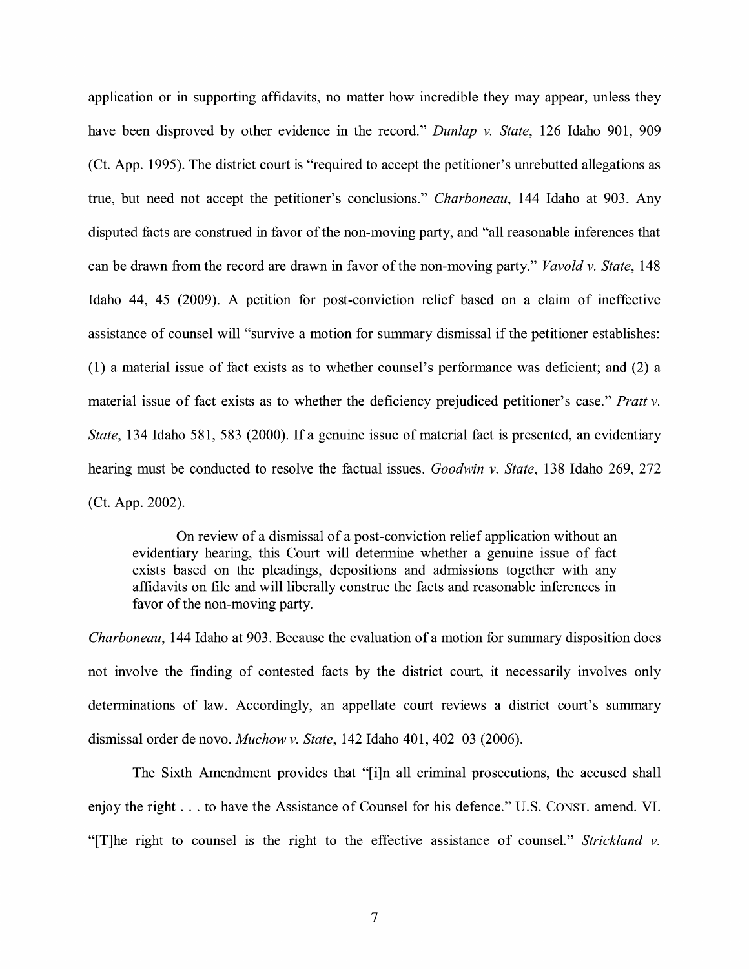application or in supporting affidavits, no matter how incredible they may appear, unless they have been disproved by other evidence in the record." *Dunlap v. State,* 126 Idaho 901, 909 (Ct. App. 1995). The district court is "required to accept the petitioner's unrebutted allegations as true, but need not accept the petitioner's conclusions." *Charboneau,* 144 Idaho at 903. Any disputed facts are construed in favor of the non-moving party, and "all reasonable inferences that can be drawn from the record are drawn in favor of the non-moving party." *Vavold v. State,* 148 Idaho 44, 45 (2009). A petition for post-conviction relief based on a claim of ineffective assistance of counsel will "survive a motion for summary dismissal if the petitioner establishes: (1) a material issue of fact exists as to whether counsel's performance was deficient; and (2) a material issue of fact exists as to whether the deficiency prejudiced petitioner's case." *Pratt v. State,* 134 Idaho 581, 583 (2000). If a genuine issue of material fact is presented, an evidentiary hearing must be conducted to resolve the factual issues. *Goodwin v. State,* 138 Idaho 269, 272 (Ct. App. 2002).

On review of a dismissal of a post-conviction relief application without an evidentiary hearing, this Court will determine whether a genuine issue of fact exists based on the pleadings, depositions and admissions together with any affidavits on file and will liberally construe the facts and reasonable inferences in favor of the non-moving party.

*Charboneau,* 144 Idaho at 903. Because the evaluation of a motion for summary disposition does not involve the finding of contested facts by the district court, it necessarily involves only determinations of law. Accordingly, an appellate court reviews a district court's summary dismissal order de novo. *Muchow v. State,* 142 Idaho 401, 402-03 (2006).

The Sixth Amendment provides that "[i]n all criminal prosecutions, the accused shall enjoy the right ... to have the Assistance of Counsel for his defence." U.S. CONST. amend. VI. "[T]he right to counsel is the right to the effective assistance of counsel." *Strickland v.*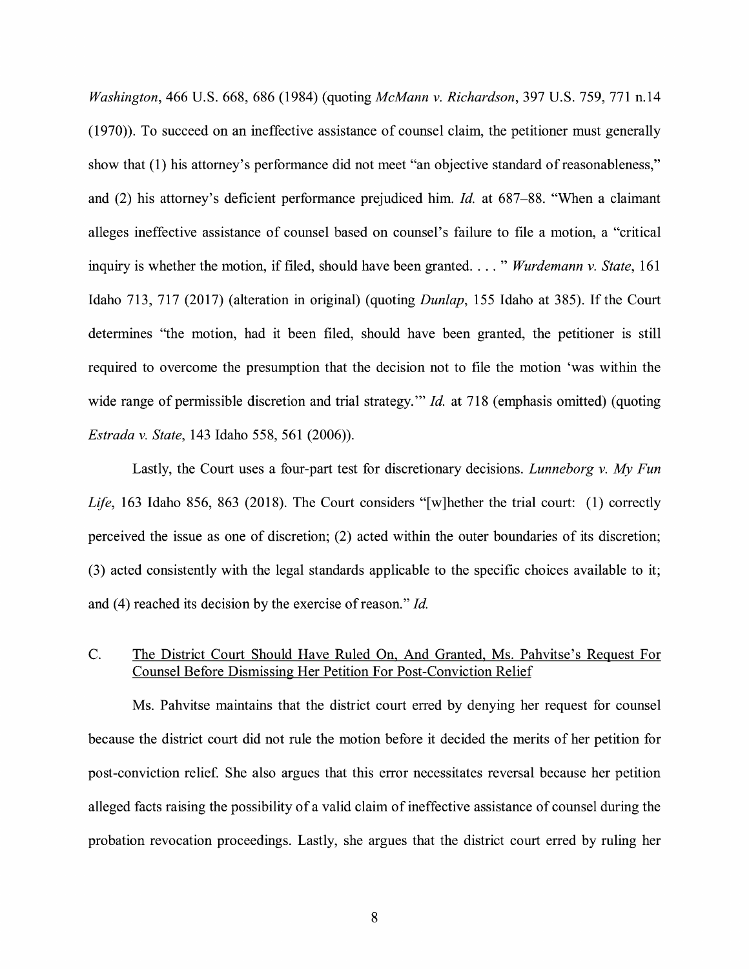*Washington,* 466 U.S. 668, 686 (1984) (quoting *McMann v. Richardson,* 397 U.S. 759, 771 n.14 (1970)). To succeed on an ineffective assistance of counsel claim, the petitioner must generally show that (1) his attorney's performance did not meet "an objective standard of reasonableness," and (2) his attorney's deficient performance prejudiced him. *Id.* at 687-88. "When a claimant alleges ineffective assistance of counsel based on counsel's failure to file a motion, a "critical inquiry is whether the motion, if filed, should have been granted. . . . " *Wurdemann v. State*, 161 Idaho 713, 717 (2017) (alteration in original) (quoting *Dunlap,* 155 Idaho at 385). If the Court determines "the motion, had it been filed, should have been granted, the petitioner is still required to overcome the presumption that the decision not to file the motion 'was within the wide range of permissible discretion and trial strategy." *Id.* at 718 (emphasis omitted) (quoting *Estrada* v. *State,* 143 Idaho 558, 561 (2006)).

Lastly, the Court uses a four-part test for discretionary decisions. *Lunneborg v. My Fun Life,* 163 Idaho 856, 863 (2018). The Court considers "[w]hether the trial court: (1) correctly perceived the issue as one of discretion; (2) acted within the outer boundaries of its discretion; (3) acted consistently with the legal standards applicable to the specific choices available to it; and (4) reached its decision by the exercise of reason." *Id.* 

# C. The District Court Should Have Ruled On, And Granted, Ms. Pahvitse's Request For Counsel Before Dismissing Her Petition For Post-Conviction Relief

Ms. Pahvitse maintains that the district court erred by denying her request for counsel because the district court did not rule the motion before it decided the merits of her petition for post-conviction relief. She also argues that this error necessitates reversal because her petition alleged facts raising the possibility of a valid claim of ineffective assistance of counsel during the probation revocation proceedings. Lastly, she argues that the district court erred by ruling her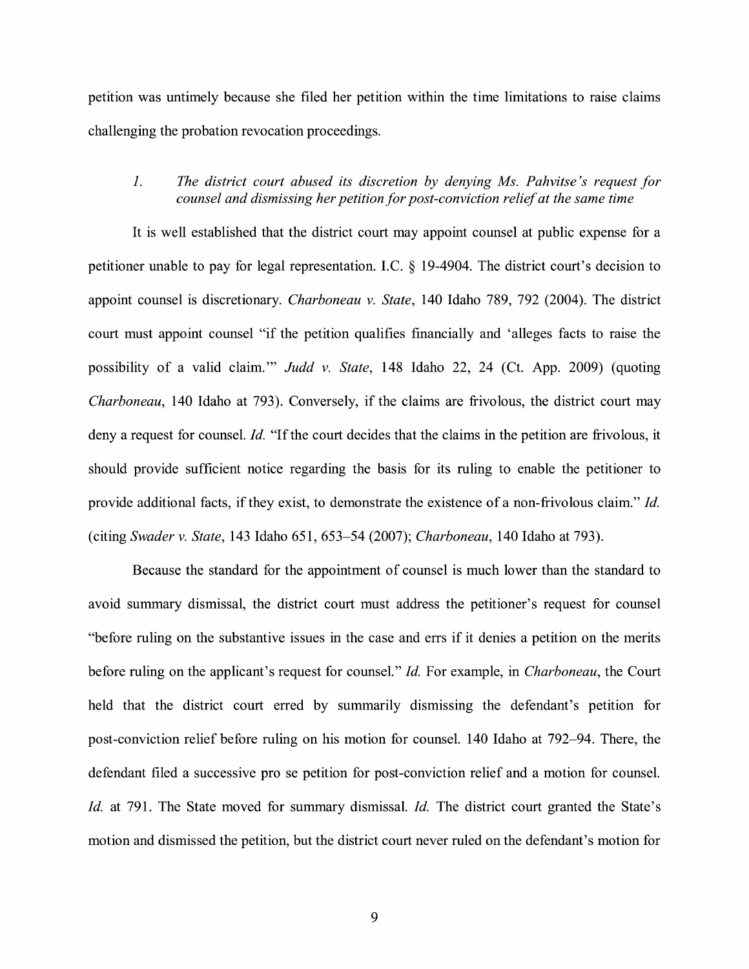petition was untimely because she filed her petition within the time limitations to raise claims challenging the probation revocation proceedings.

### *1. The district court abused its discretion by denying Ms. Pahvitse 's request for counsel and dismissing her petition for post-conviction relief at the same time*

It is well established that the district court may appoint counsel at public expense for a petitioner unable to pay for legal representation. LC. § 19-4904. The district court's decision to appoint counsel is discretionary. *Charboneau v. State,* 140 Idaho 789, 792 (2004). The district court must appoint counsel "if the petition qualifies financially and 'alleges facts to raise the possibility of a valid claim." *Judd v. State*, 148 Idaho 22, 24 (Ct. App. 2009) (quoting *Charboneau,* 140 Idaho at 793). Conversely, if the claims are frivolous, the district court may deny a request for counsel. *Id.* "If the court decides that the claims in the petition are frivolous, it should provide sufficient notice regarding the basis for its ruling to enable the petitioner to provide additional facts, if they exist, to demonstrate the existence of a non-frivolous claim." *Id.*  (citing *Swader v. State,* 143 Idaho 651, 653-54 (2007); *Charboneau,* 140 Idaho at 793).

Because the standard for the appointment of counsel is much lower than the standard to avoid summary dismissal, the district court must address the petitioner's request for counsel "before ruling on the substantive issues in the case and errs if it denies a petition on the merits before ruling on the applicant's request for counsel." *Id.* For example, in *Charboneau,* the Court held that the district court erred by summarily dismissing the defendant's petition for post-conviction relief before ruling on his motion for counsel. 140 Idaho at 792-94. There, the defendant filed a successive pro se petition for post-conviction relief and a motion for counsel. *Id.* at 791. The State moved for summary dismissal. *Id.* The district court granted the State's motion and dismissed the petition, but the district court never ruled on the defendant's motion for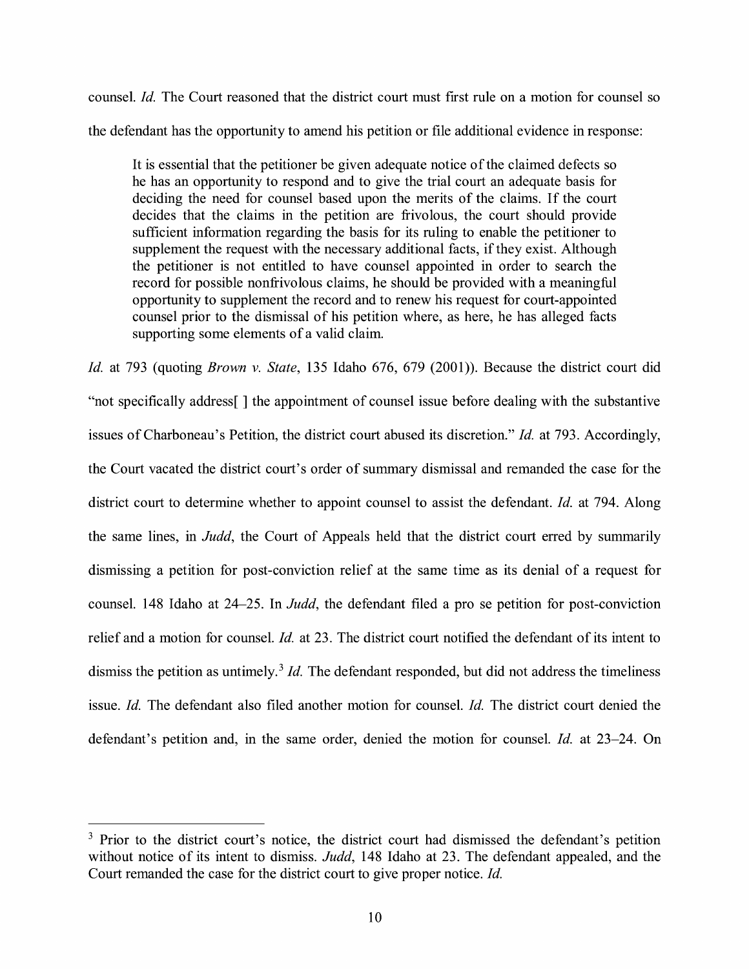counsel. *Id.* The Court reasoned that the district court must first rule on a motion for counsel so the defendant has the opportunity to amend his petition or file additional evidence in response:

It is essential that the petitioner be given adequate notice of the claimed defects so he has an opportunity to respond and to give the trial court an adequate basis for deciding the need for counsel based upon the merits of the claims. If the court decides that the claims in the petition are frivolous, the court should provide sufficient information regarding the basis for its ruling to enable the petitioner to supplement the request with the necessary additional facts, if they exist. Although the petitioner is not entitled to have counsel appointed in order to search the record for possible nonfrivolous claims, he should be provided with a meaningful opportunity to supplement the record and to renew his request for court-appointed counsel prior to the dismissal of his petition where, as here, he has alleged facts supporting some elements of a valid claim.

*Id.* at 793 (quoting *Brown v. State,* 135 Idaho 676, 679 (2001)). Because the district court did "not specifically address[ ] the appointment of counsel issue before dealing with the substantive issues of Charboneau's Petition, the district court abused its discretion." *Id.* at 793. Accordingly, the Court vacated the district court's order of summary dismissal and remanded the case for the district court to determine whether to appoint counsel to assist the defendant. *Id.* at 794. Along the same lines, in *Judd,* the Court of Appeals held that the district court erred by summarily dismissing a petition for post-conviction relief at the same time as its denial of a request for counsel. 148 Idaho at 24-25. In *Judd,* the defendant filed a pro se petition for post-conviction relief and a motion for counsel. *Id.* at 23. The district court notified the defendant of its intent to dismiss the petition as untimely.<sup>3</sup> *Id*. The defendant responded, but did not address the timeliness issue. *Id.* The defendant also filed another motion for counsel. *Id.* The district court denied the defendant's petition and, in the same order, denied the motion for counsel. *Id.* at 23-24. On

<sup>&</sup>lt;sup>3</sup> Prior to the district court's notice, the district court had dismissed the defendant's petition without notice of its intent to dismiss. *Judd,* 148 Idaho at 23. The defendant appealed, and the Court remanded the case for the district court to give proper notice. *Id.*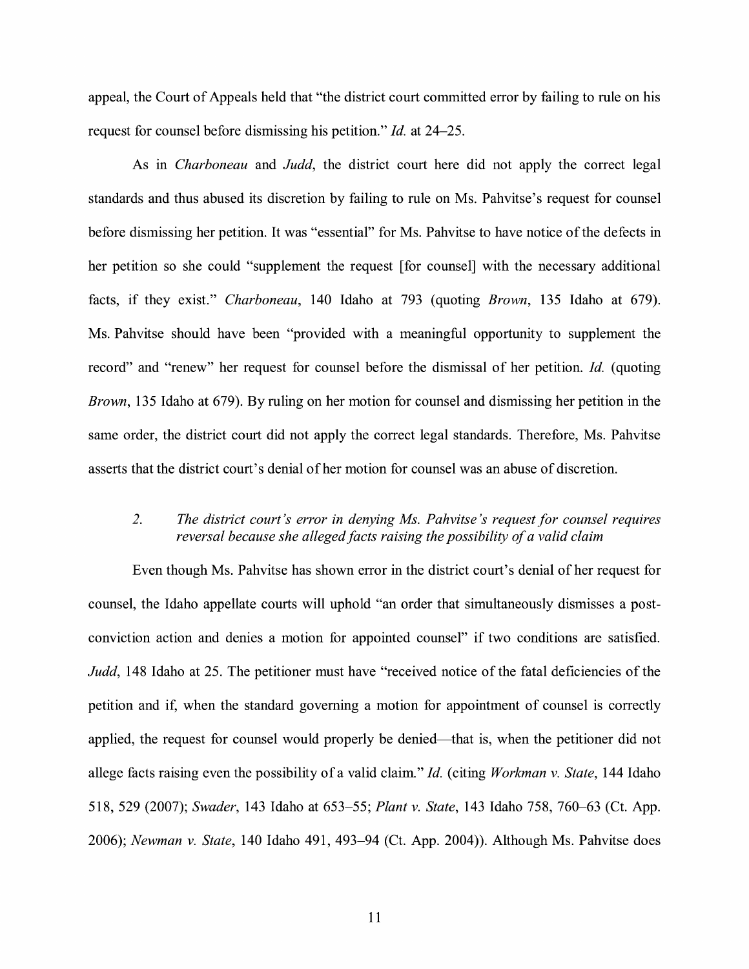appeal, the Court of Appeals held that "the district court committed error by failing to rule on his request for counsel before dismissing his petition." *Id.* at 24-25.

As in *Charboneau* and *Judd,* the district court here did not apply the correct legal standards and thus abused its discretion by failing to rule on Ms. Pahvitse's request for counsel before dismissing her petition. It was "essential" for Ms. Pahvitse to have notice of the defects in her petition so she could "supplement the request [ for counsel] with the necessary additional facts, if they exist." *Charboneau,* 140 Idaho at 793 (quoting *Brown,* 135 Idaho at 679). Ms. Pahvitse should have been "provided with a meaningful opportunity to supplement the record" and "renew" her request for counsel before the dismissal of her petition. *Id.* ( quoting *Brown,* 135 Idaho at 679). By ruling on her motion for counsel and dismissing her petition in the same order, the district court did not apply the correct legal standards. Therefore, Ms. Pahvitse asserts that the district court's denial of her motion for counsel was an abuse of discretion.

# *2. The district court's error in denying Ms. Pahvitse 's request for counsel requires reversal because she alleged facts raising the possibility of a valid claim*

Even though Ms. Pahvitse has shown error in the district court's denial of her request for counsel, the Idaho appellate courts will uphold "an order that simultaneously dismisses a postconviction action and denies a motion for appointed counsel" if two conditions are satisfied. *Judd,* 148 Idaho at 25. The petitioner must have "received notice of the fatal deficiencies of the petition and if, when the standard governing a motion for appointment of counsel is correctly applied, the request for counsel would properly be denied—that is, when the petitioner did not allege facts raising even the possibility of a valid claim." *Id.* ( citing *Workman v. State,* 144 Idaho 518, 529 (2007); *Swader,* 143 Idaho at 653-55; *Plant v. State,* 143 Idaho 758, 760-63 (Ct. App. 2006); *Newman v. State,* 140 Idaho 491, 493-94 (Ct. App. 2004)). Although Ms. Pahvitse does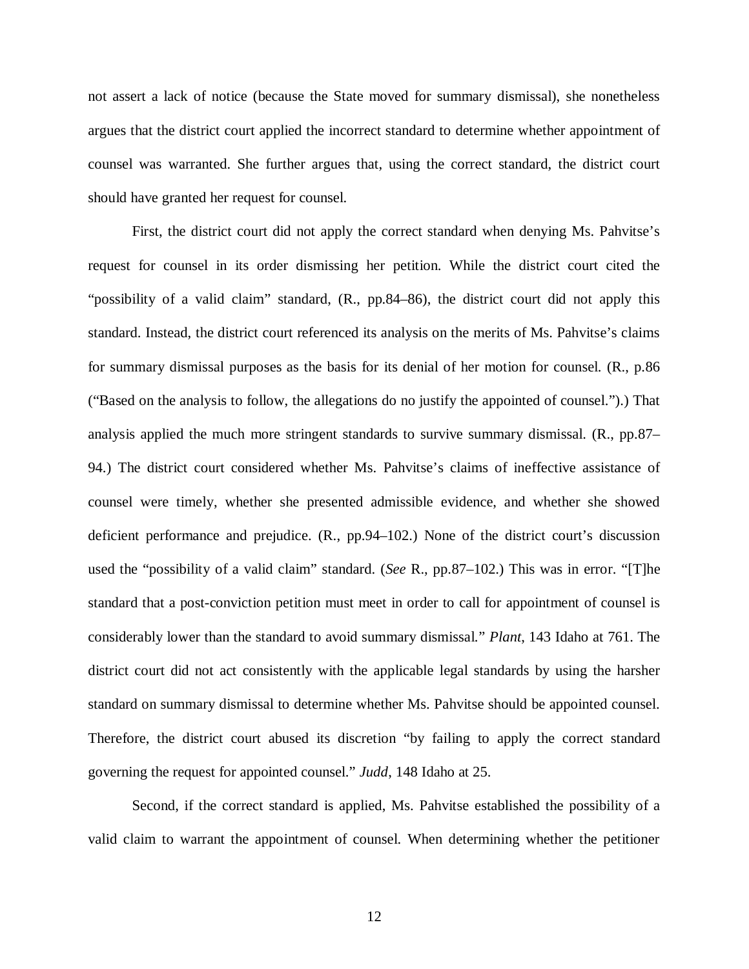not assert a lack of notice (because the State moved for summary dismissal), she nonetheless argues that the district court applied the incorrect standard to determine whether appointment of counsel was warranted. She further argues that, using the correct standard, the district court should have granted her request for counsel.

First, the district court did not apply the correct standard when denying Ms. Pahvitse's request for counsel in its order dismissing her petition. While the district court cited the "possibility of a valid claim" standard, (R., pp.84–86), the district court did not apply this standard. Instead, the district court referenced its analysis on the merits of Ms. Pahvitse's claims for summary dismissal purposes as the basis for its denial of her motion for counsel. (R., p.86 ("Based on the analysis to follow, the allegations do no justify the appointed of counsel.").) That analysis applied the much more stringent standards to survive summary dismissal. (R., pp.87– 94.) The district court considered whether Ms. Pahvitse's claims of ineffective assistance of counsel were timely, whether she presented admissible evidence, and whether she showed deficient performance and prejudice. (R., pp.94–102.) None of the district court's discussion used the "possibility of a valid claim" standard. (*See* R., pp.87–102.) This was in error. "[T]he standard that a post-conviction petition must meet in order to call for appointment of counsel is considerably lower than the standard to avoid summary dismissal." *Plant*, 143 Idaho at 761. The district court did not act consistently with the applicable legal standards by using the harsher standard on summary dismissal to determine whether Ms. Pahvitse should be appointed counsel. Therefore, the district court abused its discretion "by failing to apply the correct standard governing the request for appointed counsel." *Judd*, 148 Idaho at 25.

Second, if the correct standard is applied, Ms. Pahvitse established the possibility of a valid claim to warrant the appointment of counsel. When determining whether the petitioner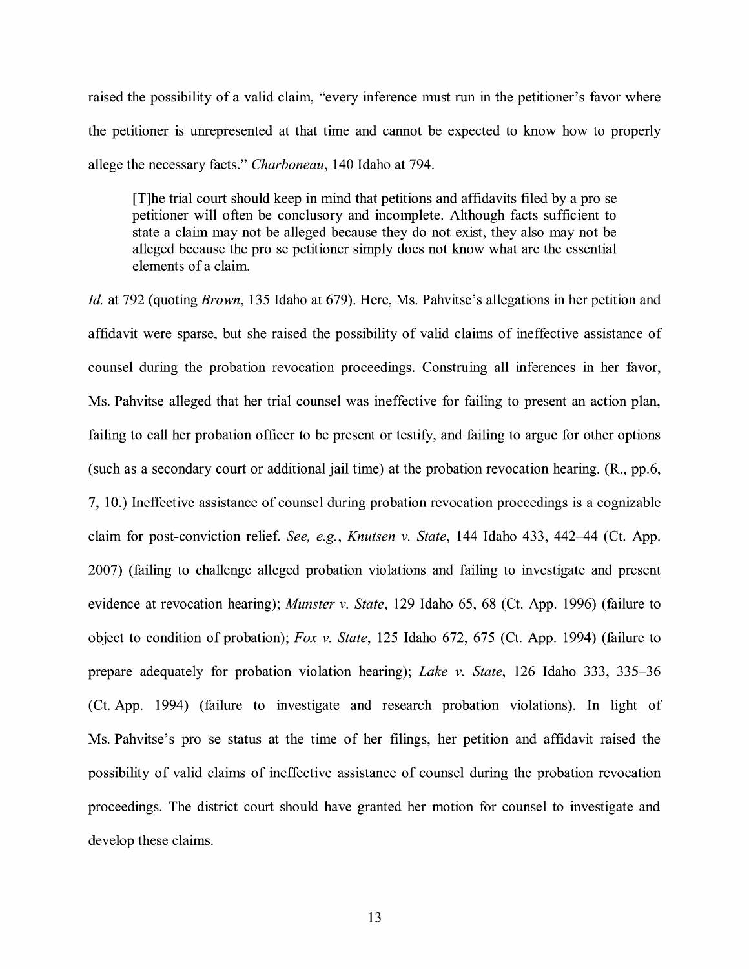raised the possibility of a valid claim, "every inference must run in the petitioner's favor where the petitioner is unrepresented at that time and cannot be expected to know how to properly allege the necessary facts." *Charboneau,* 140 Idaho at 794.

[T]he trial court should keep in mind that petitions and affidavits filed by a pro se petitioner will often be conclusory and incomplete. Although facts sufficient to state a claim may not be alleged because they do not exist, they also may not be alleged because the pro se petitioner simply does not know what are the essential elements of a claim.

*Id.* at 792 (quoting *Brown,* 135 Idaho at 679). Here, Ms. Pahvitse's allegations in her petition and affidavit were sparse, but she raised the possibility of valid claims of ineffective assistance of counsel during the probation revocation proceedings. Construing all inferences in her favor, Ms. Pahvitse alleged that her trial counsel was ineffective for failing to present an action plan, failing to call her probation officer to be present or testify, and failing to argue for other options (such as a secondary court or additional jail time) at the probation revocation hearing. (R., pp.6, 7, 10.) Ineffective assistance of counsel during probation revocation proceedings is a cognizable claim for post-conviction relief. *See, e.g., Knutsen v. State*, 144 Idaho 433, 442–44 (Ct. App. 2007) (failing to challenge alleged probation violations and failing to investigate and present evidence at revocation hearing); *Munster v. State,* 129 Idaho 65, 68 (Ct. App. 1996) (failure to object to condition of probation); *Fox v. State,* 125 Idaho 672, 675 (Ct. App. 1994) (failure to prepare adequately for probation violation hearing); *Lake v. State,* 126 Idaho 333, 335-36 (Ct. App. 1994) (failure to investigate and research probation violations). In light of Ms. Pahvitse's pro se status at the time of her filings, her petition and affidavit raised the possibility of valid claims of ineffective assistance of counsel during the probation revocation proceedings. The district court should have granted her motion for counsel to investigate and develop these claims.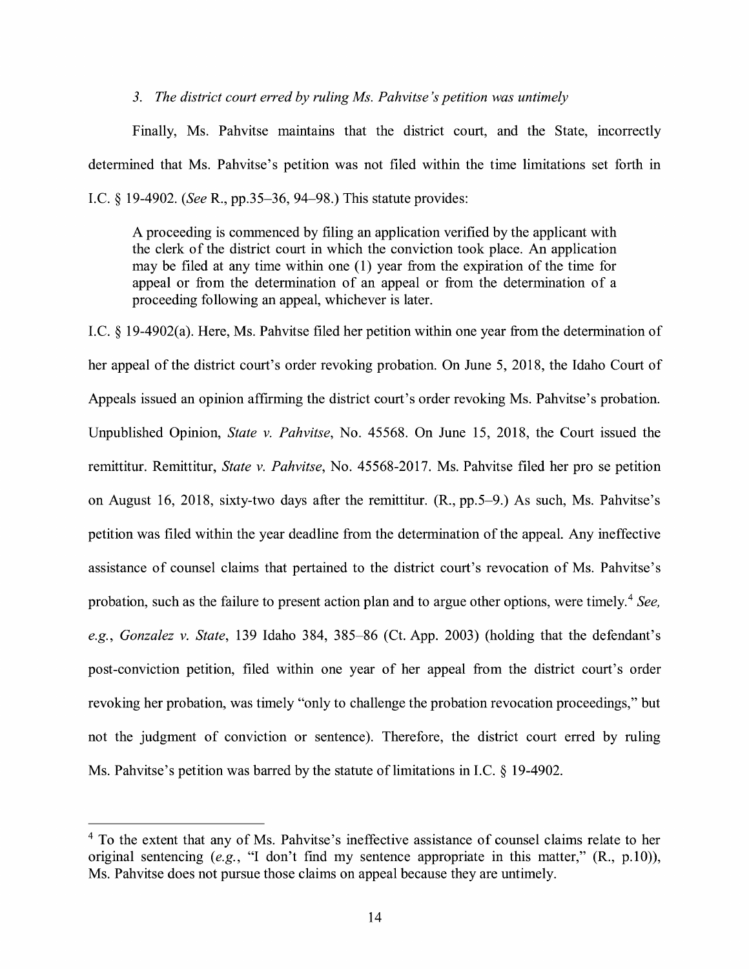#### *3. The district court erred by ruling Ms. Pahvitse 's petition was untimely*

Finally, Ms. Pahvitse maintains that the district court, and the State, incorrectly determined that Ms. Pahvitse's petition was not filed within the time limitations set forth in I.C. § 19-4902. *(See* R., pp.35-36, 94-98.) This statute provides:

A proceeding is commenced by filing an application verified by the applicant with the clerk of the district court in which the conviction took place. An application may be filed at any time within one  $(1)$  year from the expiration of the time for appeal or from the determination of an appeal or from the determination of a proceeding following an appeal, whichever is later.

I.C. § 19-4902(a). Here, Ms. Pahvitse filed her petition within one year from the determination of her appeal of the district court's order revoking probation. On June 5, 2018, the Idaho Court of Appeals issued an opinion affirming the district court's order revoking Ms. Pahvitse's probation. Unpublished Opinion, *State v. Pahvitse,* No. 45568. On June 15, 2018, the Court issued the remittitur. Remittitur, *State v. Pahvitse,* No. 45568-2017. Ms. Pahvitse filed her pro se petition on August 16, 2018, sixty-two days after the remittitur. (R., pp.5-9.) As such, Ms. Pahvitse's petition was filed within the year deadline from the determination of the appeal. Any ineffective assistance of counsel claims that pertained to the district court's revocation of Ms. Pahvitse's probation, such as the failure to present action plan and to argue other options, were timely.<sup>4</sup> See, *e.g., Gonzalez v. State,* 139 Idaho 384, 385-86 (Ct. App. 2003) (holding that the defendant's post-conviction petition, filed within one year of her appeal from the district court's order revoking her probation, was timely "only to challenge the probation revocation proceedings," but not the judgment of conviction or sentence). Therefore, the district court erred by ruling Ms. Pahvitse's petition was barred by the statute of limitations in I.C. § 19-4902.

<sup>&</sup>lt;sup>4</sup> To the extent that any of Ms. Pahvitse's ineffective assistance of counsel claims relate to her original sentencing (e.g., "I don't find my sentence appropriate in this matter,"  $(R., p.10)$ ), Ms. Pahvitse does not pursue those claims on appeal because they are untimely.